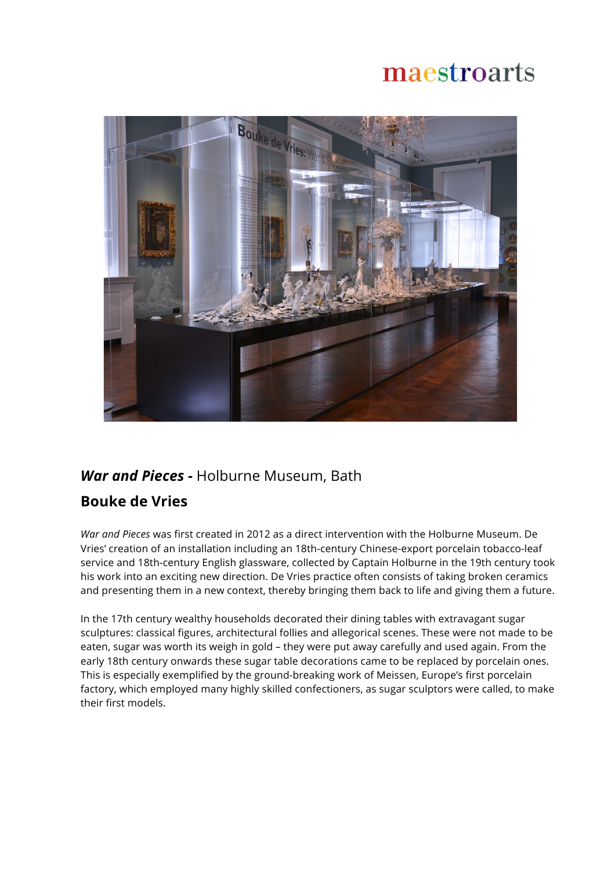# maestroarts



## *War and Pieces* **-** Holburne Museum, Bath

## **Bouke de Vries**

*War and Pieces* was first created in 2012 as a direct intervention with the Holburne Museum. De Vries' creation of an installation including an 18th-century Chinese-export porcelain tobacco-leaf service and 18th-century English glassware, collected by Captain Holburne in the 19th century took his work into an exciting new direction. De Vries practice often consists of taking broken ceramics and presenting them in a new context, thereby bringing them back to life and giving them a future.

In the 17th century wealthy households decorated their dining tables with extravagant sugar sculptures: classical figures, architectural follies and allegorical scenes. These were not made to be eaten, sugar was worth its weigh in gold – they were put away carefully and used again. From the early 18th century onwards these sugar table decorations came to be replaced by porcelain ones. This is especially exemplified by the ground-breaking work of Meissen, Europe's first porcelain factory, which employed many highly skilled confectioners, as sugar sculptors were called, to make their first models.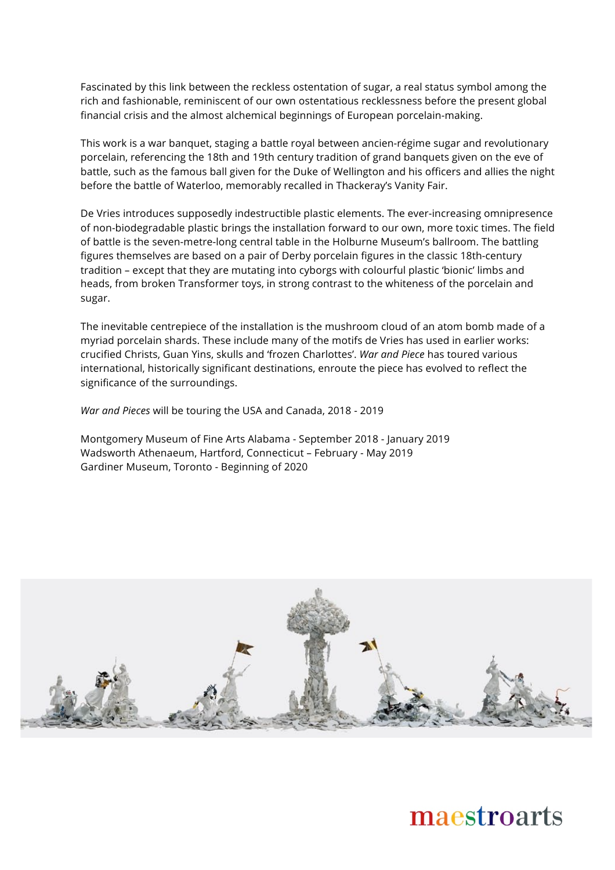Fascinated by this link between the reckless ostentation of sugar, a real status symbol among the rich and fashionable, reminiscent of our own ostentatious recklessness before the present global financial crisis and the almost alchemical beginnings of European porcelain-making.

This work is a war banquet, staging a battle royal between ancien-régime sugar and revolutionary porcelain, referencing the 18th and 19th century tradition of grand banquets given on the eve of battle, such as the famous ball given for the Duke of Wellington and his officers and allies the night before the battle of Waterloo, memorably recalled in Thackeray's Vanity Fair.

De Vries introduces supposedly indestructible plastic elements. The ever-increasing omnipresence of non-biodegradable plastic brings the installation forward to our own, more toxic times. The field of battle is the seven-metre-long central table in the Holburne Museum's ballroom. The battling figures themselves are based on a pair of Derby porcelain figures in the classic 18th-century tradition – except that they are mutating into cyborgs with colourful plastic 'bionic' limbs and heads, from broken Transformer toys, in strong contrast to the whiteness of the porcelain and sugar.

The inevitable centrepiece of the installation is the mushroom cloud of an atom bomb made of a myriad porcelain shards. These include many of the motifs de Vries has used in earlier works: crucified Christs, Guan Yins, skulls and 'frozen Charlottes'. *War and Piece* has toured various international, historically significant destinations, enroute the piece has evolved to reflect the significance of the surroundings.

*War and Pieces* will be touring the USA and Canada, 2018 - 2019

Montgomery Museum of Fine Arts Alabama - September 2018 - January 2019 Wadsworth Athenaeum, Hartford, Connecticut – February - May 2019 Gardiner Museum, Toronto - Beginning of 2020



## maestroarts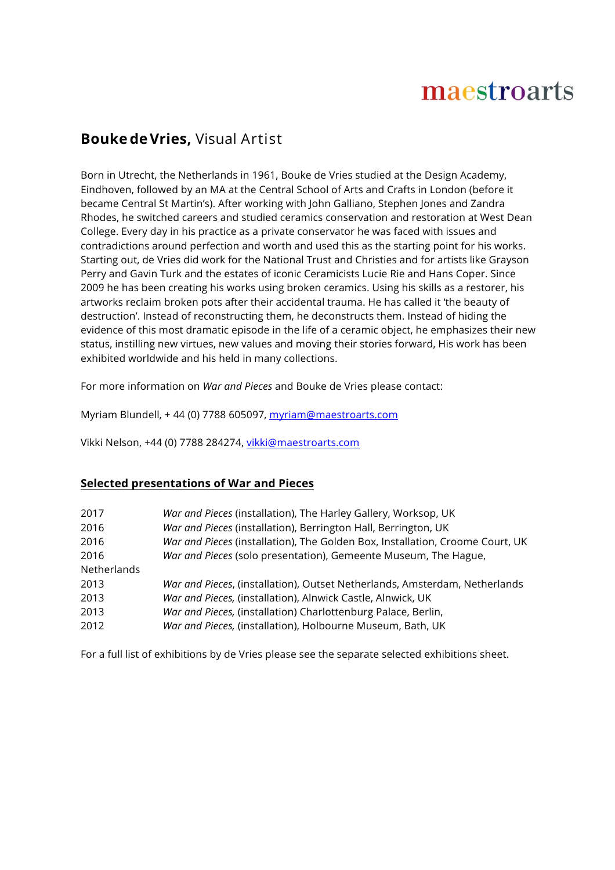# maestroarts

## **BoukedeVries,** Visual Artist

Born in Utrecht, the Netherlands in 1961, Bouke de Vries studied at the Design Academy, Eindhoven, followed by an MA at the Central School of Arts and Crafts in London (before it became Central St Martin's). After working with John Galliano, Stephen Jones and Zandra Rhodes, he switched careers and studied ceramics conservation and restoration at West Dean College. Every day in his practice as a private conservator he was faced with issues and contradictions around perfection and worth and used this as the starting point for his works. Starting out, de Vries did work for the National Trust and Christies and for artists like Grayson Perry and Gavin Turk and the estates of iconic Ceramicists Lucie Rie and Hans Coper. Since 2009 he has been creating his works using broken ceramics. Using his skills as a restorer, his artworks reclaim broken pots after their accidental trauma. He has called it 'the beauty of destruction'. Instead of reconstructing them, he deconstructs them. Instead of hiding the evidence of this most dramatic episode in the life of a ceramic object, he emphasizes their new status, instilling new virtues, new values and moving their stories forward, His work has been exhibited worldwide and his held in many collections.

For more information on *War and Pieces* and Bouke de Vries please contact:

Myriam Blundell, + 44 (0) 7788 605097, myriam@maestroarts.com

Vikki Nelson, +44 (0) 7788 284274, vikki@maestroarts.com

#### **Selected presentations of War and Pieces**

| 2017        | War and Pieces (installation), The Harley Gallery, Worksop, UK                |
|-------------|-------------------------------------------------------------------------------|
| 2016        | War and Pieces (installation), Berrington Hall, Berrington, UK                |
| 2016        | War and Pieces (installation), The Golden Box, Installation, Croome Court, UK |
| 2016        | War and Pieces (solo presentation), Gemeente Museum, The Hague,               |
| Netherlands |                                                                               |
| 2013        | War and Pieces, (installation), Outset Netherlands, Amsterdam, Netherlands    |
| 2013        | War and Pieces, (installation), Alnwick Castle, Alnwick, UK                   |
| 2013        | War and Pieces, (installation) Charlottenburg Palace, Berlin,                 |
| 2012        | War and Pieces, (installation), Holbourne Museum, Bath, UK                    |

For a full list of exhibitions by de Vries please see the separate selected exhibitions sheet.